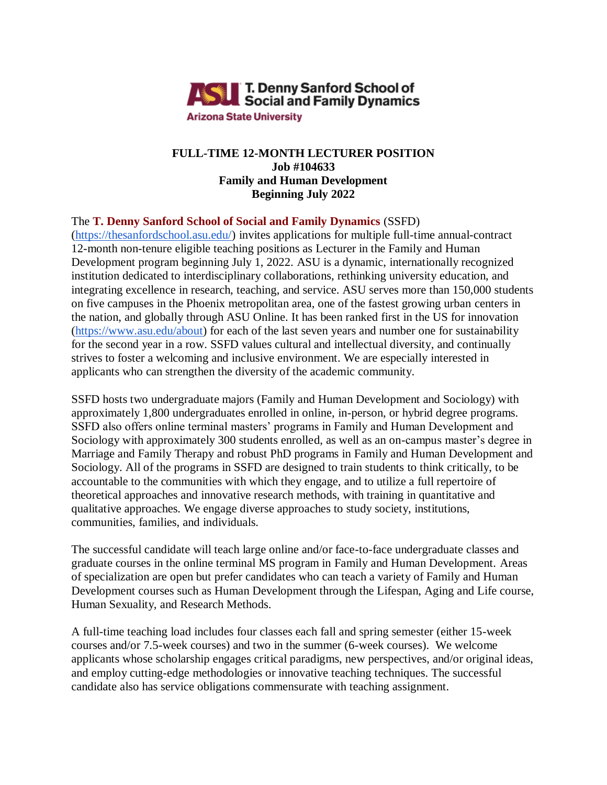

# **FULL-TIME 12-MONTH LECTURER POSITION Job #104633 Family and Human Development Beginning July 2022**

## The **T. Denny Sanford School of Social and Family Dynamics** (SSFD)

[\(https://thesanfordschool.asu.edu/\)](https://thesanfordschool.asu.edu/) invites applications for multiple full-time annual-contract 12-month non-tenure eligible teaching positions as Lecturer in the Family and Human Development program beginning July 1, 2022. ASU is a dynamic, internationally recognized institution dedicated to interdisciplinary collaborations, rethinking university education, and integrating excellence in research, teaching, and service. ASU serves more than 150,000 students on five campuses in the Phoenix metropolitan area, one of the fastest growing urban centers in the nation, and globally through ASU Online. It has been ranked first in the US for innovation [\(https://www.asu.edu/about\)](https://www.asu.edu/about) for each of the last seven years and number one for sustainability for the second year in a row. SSFD values cultural and intellectual diversity, and continually strives to foster a welcoming and inclusive environment. We are especially interested in applicants who can strengthen the diversity of the academic community.

SSFD hosts two undergraduate majors (Family and Human Development and Sociology) with approximately 1,800 undergraduates enrolled in online, in-person, or hybrid degree programs. SSFD also offers online terminal masters' programs in Family and Human Development and Sociology with approximately 300 students enrolled, as well as an on-campus master's degree in Marriage and Family Therapy and robust PhD programs in Family and Human Development and Sociology. All of the programs in SSFD are designed to train students to think critically, to be accountable to the communities with which they engage, and to utilize a full repertoire of theoretical approaches and innovative research methods, with training in quantitative and qualitative approaches. We engage diverse approaches to study society, institutions, communities, families, and individuals.

The successful candidate will teach large online and/or face-to-face undergraduate classes and graduate courses in the online terminal MS program in Family and Human Development. Areas of specialization are open but prefer candidates who can teach a variety of Family and Human Development courses such as Human Development through the Lifespan, Aging and Life course, Human Sexuality, and Research Methods.

A full-time teaching load includes four classes each fall and spring semester (either 15-week courses and/or 7.5-week courses) and two in the summer (6-week courses). We welcome applicants whose scholarship engages critical paradigms, new perspectives, and/or original ideas, and employ cutting-edge methodologies or innovative teaching techniques. The successful candidate also has service obligations commensurate with teaching assignment.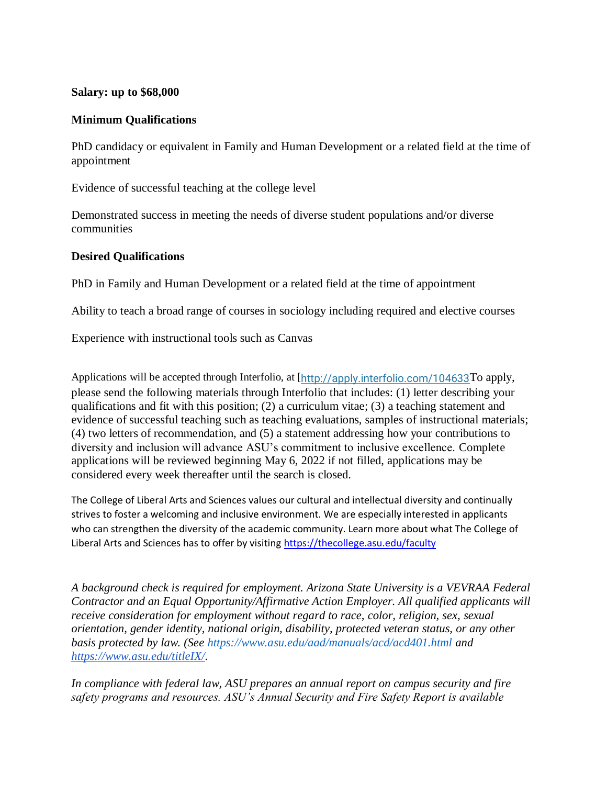### **Salary: up to \$68,000**

### **Minimum Qualifications**

PhD candidacy or equivalent in Family and Human Development or a related field at the time of appointment

Evidence of successful teaching at the college level

Demonstrated success in meeting the needs of diverse student populations and/or diverse communities

#### **Desired Qualifications**

PhD in Family and Human Development or a related field at the time of appointment

Ability to teach a broad range of courses in sociology including required and elective courses

Experience with instructional tools such as Canvas

Applications will be accepted through Interfolio, at [<http://apply.interfolio.com/104633>To apply, please send the following materials through Interfolio that includes: (1) letter describing your qualifications and fit with this position; (2) a curriculum vitae; (3) a teaching statement and evidence of successful teaching such as teaching evaluations, samples of instructional materials; (4) two letters of recommendation, and (5) a statement addressing how your contributions to diversity and inclusion will advance ASU's commitment to inclusive excellence. Complete applications will be reviewed beginning May 6, 2022 if not filled, applications may be considered every week thereafter until the search is closed.

The College of Liberal Arts and Sciences values our cultural and intellectual diversity and continually strives to foster a welcoming and inclusive environment. We are especially interested in applicants who can strengthen the diversity of the academic community. Learn more about what The College of Liberal Arts and Sciences has to offer by visiting<https://thecollege.asu.edu/faculty>

*A background check is required for employment. Arizona State University is a VEVRAA Federal Contractor and an Equal Opportunity/Affirmative Action Employer. All qualified applicants will receive consideration for employment without regard to race, color, religion, sex, sexual orientation, gender identity, national origin, disability, protected veteran status, or any other basis protected by law. (See https://www.asu.edu/aad/manuals/acd/acd401.html an[d](https://www.asu.edu/titleIX/) [https://www.asu.edu/titleIX/.](https://www.asu.edu/titleIX/)*

*In compliance with federal law, ASU prepares an annual report on campus security and fire safety programs and resources. ASU's Annual Security and Fire Safety Report is available*